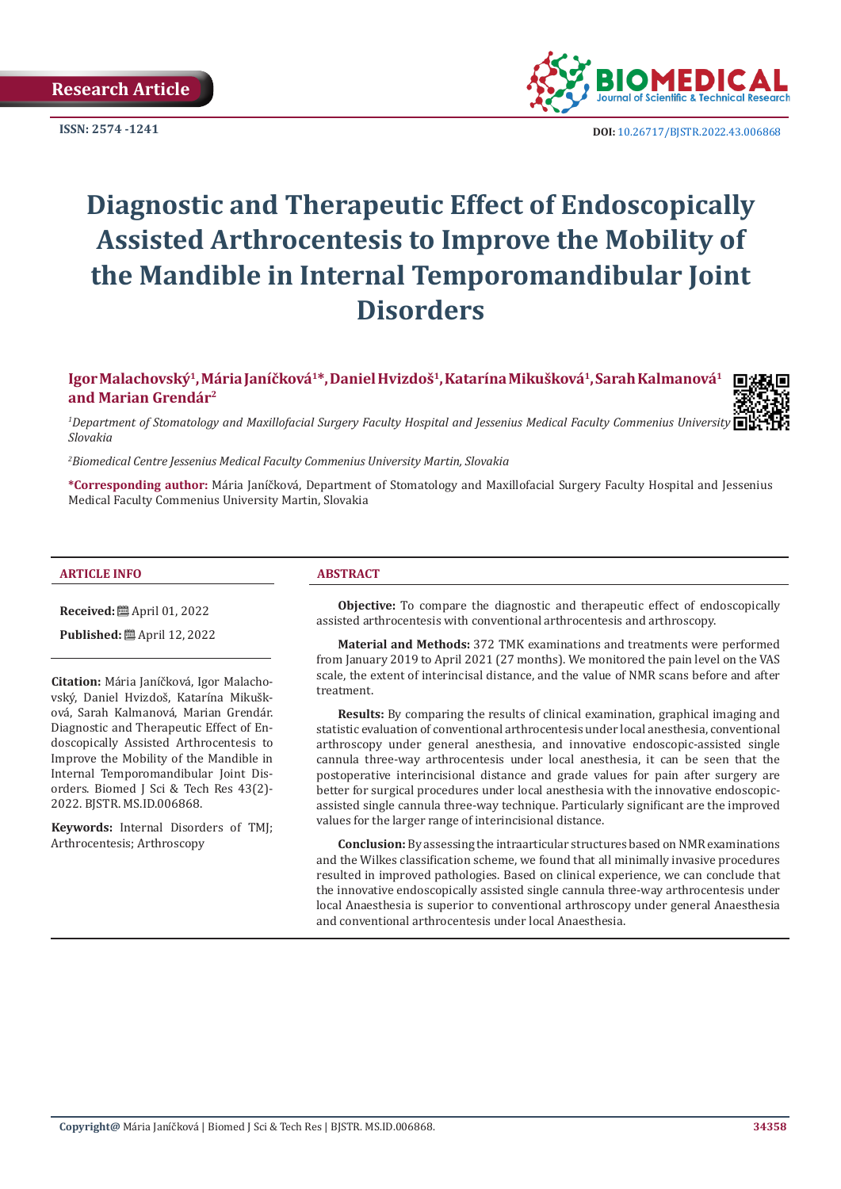**Research Article** 



**ISSN:** 2574 -1241 **DOI:** [10.26717/BJSTR.2022.43.006868](https://dx.doi.org/10.26717/BJSTR.2022.43.006868)

# **Diagnostic and Therapeutic Effect of Endoscopically Assisted Arthrocentesis to Improve the Mobility of the Mandible in Internal Temporomandibular Joint Disorders**

**Igor Malachovský1, Mária Janíčková1\*, Daniel Hvizdoš1, Katarína Mikušková1, Sarah Kalmanová1 and Marian Grendár2**

*1 Department of Stomatology and Maxillofacial Surgery Faculty Hospital and Jessenius Medical Faculty Commenius University Martin, Slovakia*

*2 Biomedical Centre Jessenius Medical Faculty Commenius University Martin, Slovakia*

**\*Corresponding author:** Mária Janíčková, Department of Stomatology and Maxillofacial Surgery Faculty Hospital and Jessenius Medical Faculty Commenius University Martin, Slovakia

#### **ARTICLE INFO ABSTRACT**

**Received:** April 01, 2022

**Published:** ■ April 12, 2022

**Citation:** Mária Janíčková, Igor Malachovský, Daniel Hvizdoš, Katarína Mikušková, Sarah Kalmanová, Marian Grendár. Diagnostic and Therapeutic Effect of Endoscopically Assisted Arthrocentesis to Improve the Mobility of the Mandible in Internal Temporomandibular Joint Disorders. Biomed J Sci & Tech Res 43(2)- 2022. BJSTR. MS.ID.006868.

**Keywords:** Internal Disorders of TMJ; Arthrocentesis; Arthroscopy

**Objective:** To compare the diagnostic and therapeutic effect of endoscopically assisted arthrocentesis with conventional arthrocentesis and arthroscopy.

**Material and Methods:** 372 TMK examinations and treatments were performed from January 2019 to April 2021 (27 months). We monitored the pain level on the VAS scale, the extent of interincisal distance, and the value of NMR scans before and after treatment.

**Results:** By comparing the results of clinical examination, graphical imaging and statistic evaluation of conventional arthrocentesis under local anesthesia, conventional arthroscopy under general anesthesia, and innovative endoscopic-assisted single cannula three-way arthrocentesis under local anesthesia, it can be seen that the postoperative interincisional distance and grade values for pain after surgery are better for surgical procedures under local anesthesia with the innovative endoscopicassisted single cannula three-way technique. Particularly significant are the improved values for the larger range of interincisional distance.

**Conclusion:** By assessing the intraarticular structures based on NMR examinations and the Wilkes classification scheme, we found that all minimally invasive procedures resulted in improved pathologies. Based on clinical experience, we can conclude that the innovative endoscopically assisted single cannula three-way arthrocentesis under local Anaesthesia is superior to conventional arthroscopy under general Anaesthesia and conventional arthrocentesis under local Anaesthesia.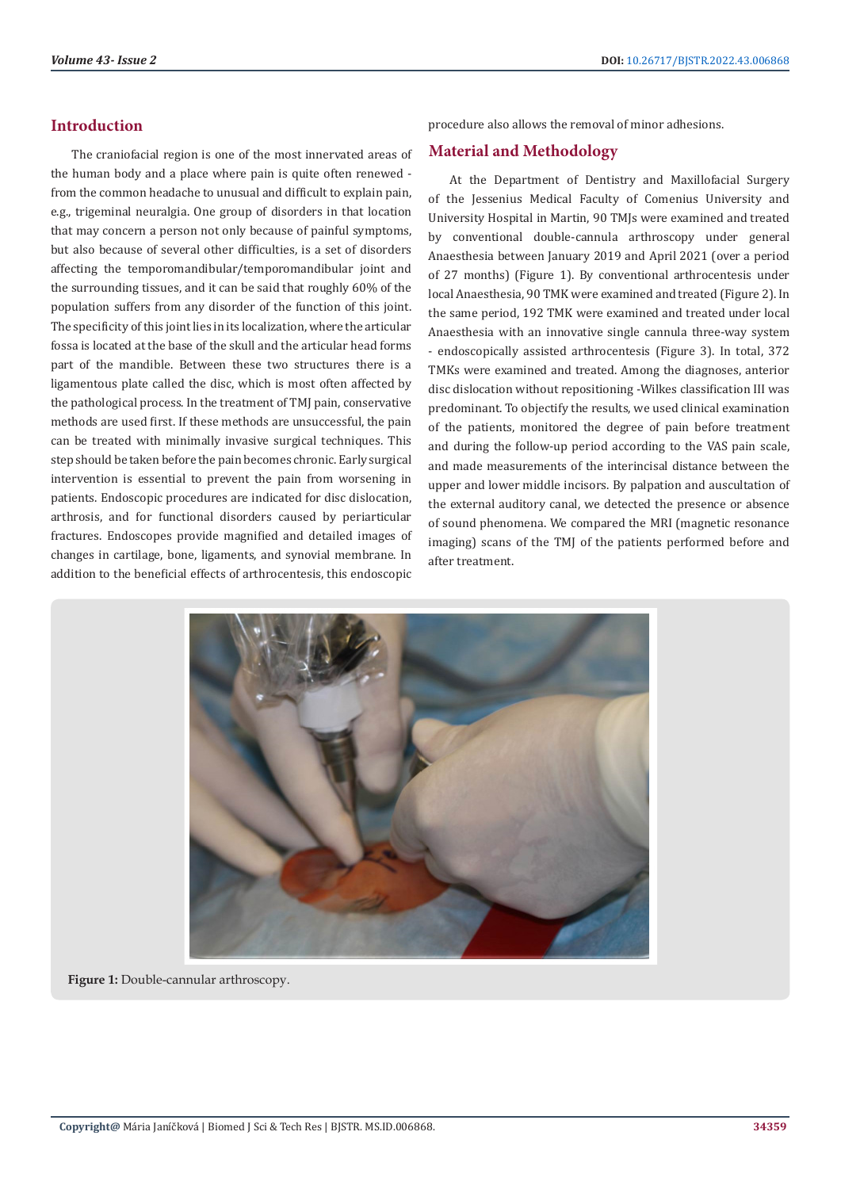# **Introduction**

The craniofacial region is one of the most innervated areas of the human body and a place where pain is quite often renewed from the common headache to unusual and difficult to explain pain, e.g., trigeminal neuralgia. One group of disorders in that location that may concern a person not only because of painful symptoms, but also because of several other difficulties, is a set of disorders affecting the temporomandibular/temporomandibular joint and the surrounding tissues, and it can be said that roughly 60% of the population suffers from any disorder of the function of this joint. The specificity of this joint lies in its localization, where the articular fossa is located at the base of the skull and the articular head forms part of the mandible. Between these two structures there is a ligamentous plate called the disc, which is most often affected by the pathological process. In the treatment of TMJ pain, conservative methods are used first. If these methods are unsuccessful, the pain can be treated with minimally invasive surgical techniques. This step should be taken before the pain becomes chronic. Early surgical intervention is essential to prevent the pain from worsening in patients. Endoscopic procedures are indicated for disc dislocation, arthrosis, and for functional disorders caused by periarticular fractures. Endoscopes provide magnified and detailed images of changes in cartilage, bone, ligaments, and synovial membrane. In addition to the beneficial effects of arthrocentesis, this endoscopic

procedure also allows the removal of minor adhesions.

# **Material and Methodology**

At the Department of Dentistry and Maxillofacial Surgery of the Jessenius Medical Faculty of Comenius University and University Hospital in Martin, 90 TMJs were examined and treated by conventional double-cannula arthroscopy under general Anaesthesia between January 2019 and April 2021 (over a period of 27 months) (Figure 1). By conventional arthrocentesis under local Anaesthesia, 90 TMK were examined and treated (Figure 2). In the same period, 192 TMK were examined and treated under local Anaesthesia with an innovative single cannula three-way system - endoscopically assisted arthrocentesis (Figure 3). In total, 372 TMKs were examined and treated. Among the diagnoses, anterior disc dislocation without repositioning -Wilkes classification III was predominant. To objectify the results, we used clinical examination of the patients, monitored the degree of pain before treatment and during the follow-up period according to the VAS pain scale, and made measurements of the interincisal distance between the upper and lower middle incisors. By palpation and auscultation of the external auditory canal, we detected the presence or absence of sound phenomena. We compared the MRI (magnetic resonance imaging) scans of the TMJ of the patients performed before and after treatment.



**Figure 1:** Double-cannular arthroscopy.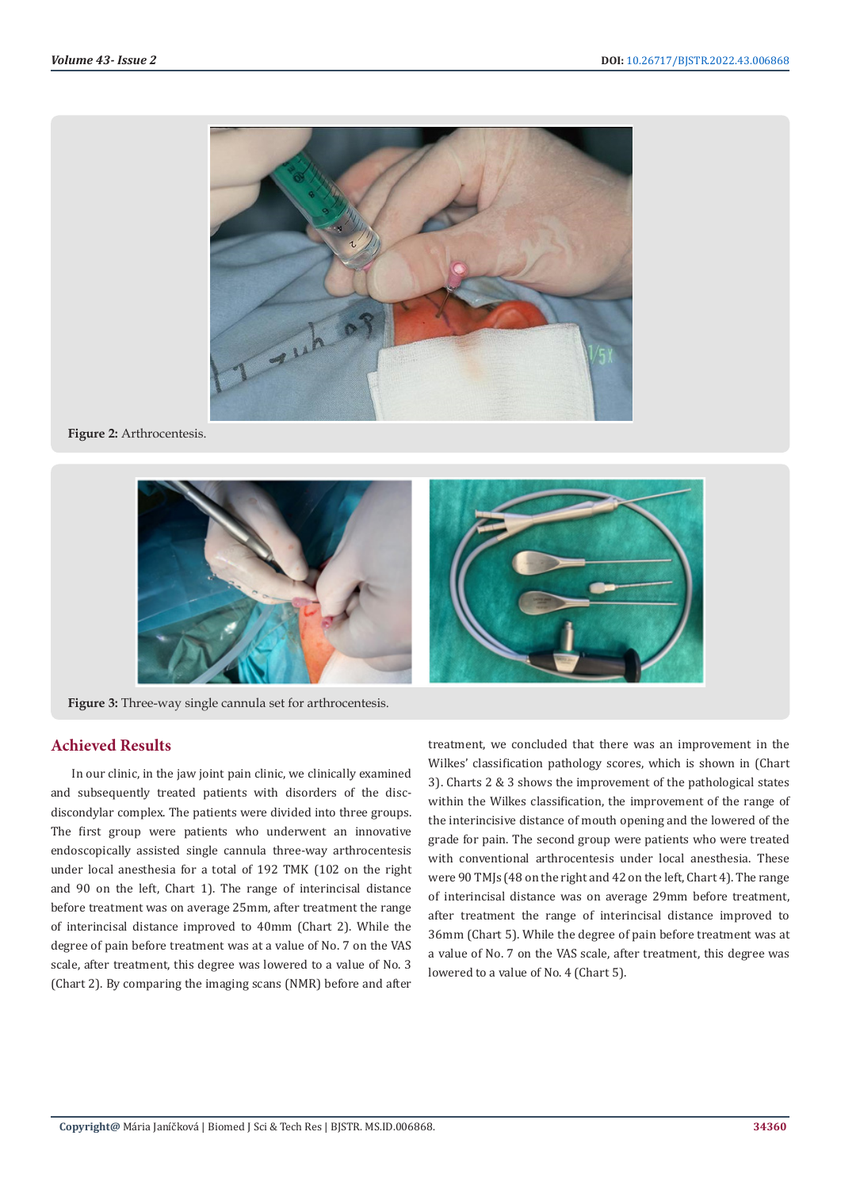

**Figure 2:** Arthrocentesis.



**Figure 3:** Three-way single cannula set for arthrocentesis.

# **Achieved Results**

In our clinic, in the jaw joint pain clinic, we clinically examined and subsequently treated patients with disorders of the discdiscondylar complex. The patients were divided into three groups. The first group were patients who underwent an innovative endoscopically assisted single cannula three-way arthrocentesis under local anesthesia for a total of 192 TMK (102 on the right and 90 on the left, Chart 1). The range of interincisal distance before treatment was on average 25mm, after treatment the range of interincisal distance improved to 40mm (Chart 2). While the degree of pain before treatment was at a value of No. 7 on the VAS scale, after treatment, this degree was lowered to a value of No. 3 (Chart 2). By comparing the imaging scans (NMR) before and after

treatment, we concluded that there was an improvement in the Wilkes' classification pathology scores, which is shown in (Chart 3). Charts 2 & 3 shows the improvement of the pathological states within the Wilkes classification, the improvement of the range of the interincisive distance of mouth opening and the lowered of the grade for pain. The second group were patients who were treated with conventional arthrocentesis under local anesthesia. These were 90 TMJs (48 on the right and 42 on the left, Chart 4). The range of interincisal distance was on average 29mm before treatment, after treatment the range of interincisal distance improved to 36mm (Chart 5). While the degree of pain before treatment was at a value of No. 7 on the VAS scale, after treatment, this degree was lowered to a value of No. 4 (Chart 5).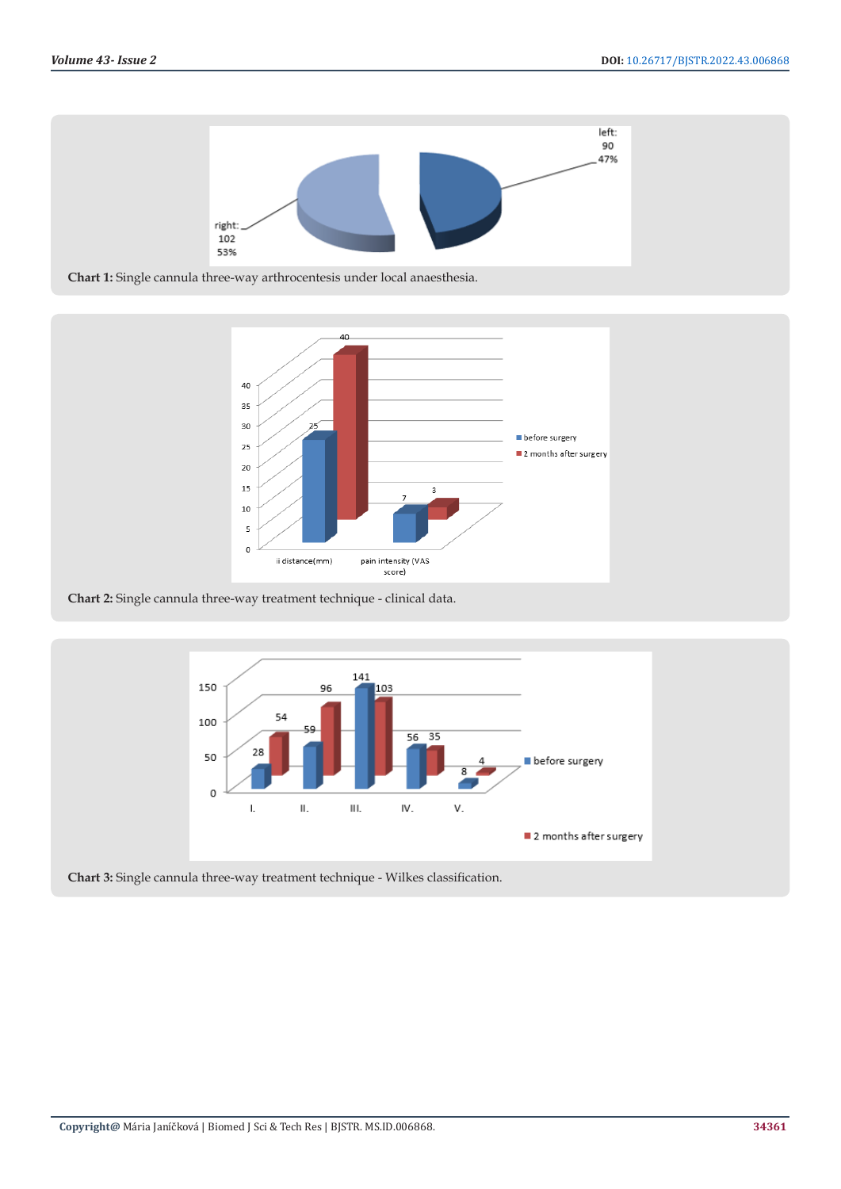

**Chart 1:** Single cannula three-way arthrocentesis under local anaesthesia.



**Chart 2:** Single cannula three-way treatment technique - clinical data.



**Chart 3:** Single cannula three-way treatment technique - Wilkes classification.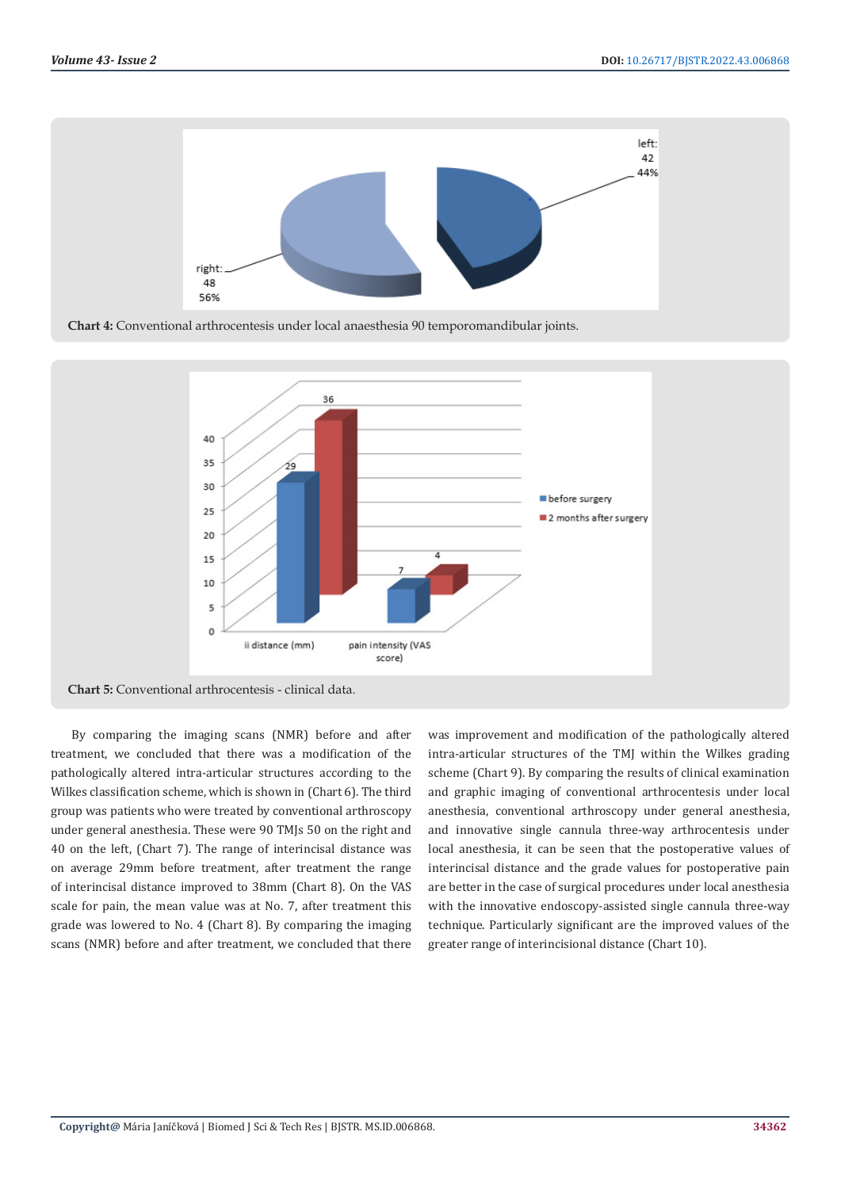

**Chart 4:** Conventional arthrocentesis under local anaesthesia 90 temporomandibular joints.



By comparing the imaging scans (NMR) before and after treatment, we concluded that there was a modification of the pathologically altered intra-articular structures according to the Wilkes classification scheme, which is shown in (Chart 6). The third group was patients who were treated by conventional arthroscopy under general anesthesia. These were 90 TMJs 50 on the right and 40 on the left, (Chart 7). The range of interincisal distance was on average 29mm before treatment, after treatment the range of interincisal distance improved to 38mm (Chart 8). On the VAS scale for pain, the mean value was at No. 7, after treatment this grade was lowered to No. 4 (Chart 8). By comparing the imaging scans (NMR) before and after treatment, we concluded that there

was improvement and modification of the pathologically altered intra-articular structures of the TMJ within the Wilkes grading scheme (Chart 9). By comparing the results of clinical examination and graphic imaging of conventional arthrocentesis under local anesthesia, conventional arthroscopy under general anesthesia, and innovative single cannula three-way arthrocentesis under local anesthesia, it can be seen that the postoperative values of interincisal distance and the grade values for postoperative pain are better in the case of surgical procedures under local anesthesia with the innovative endoscopy-assisted single cannula three-way technique. Particularly significant are the improved values of the greater range of interincisional distance (Chart 10).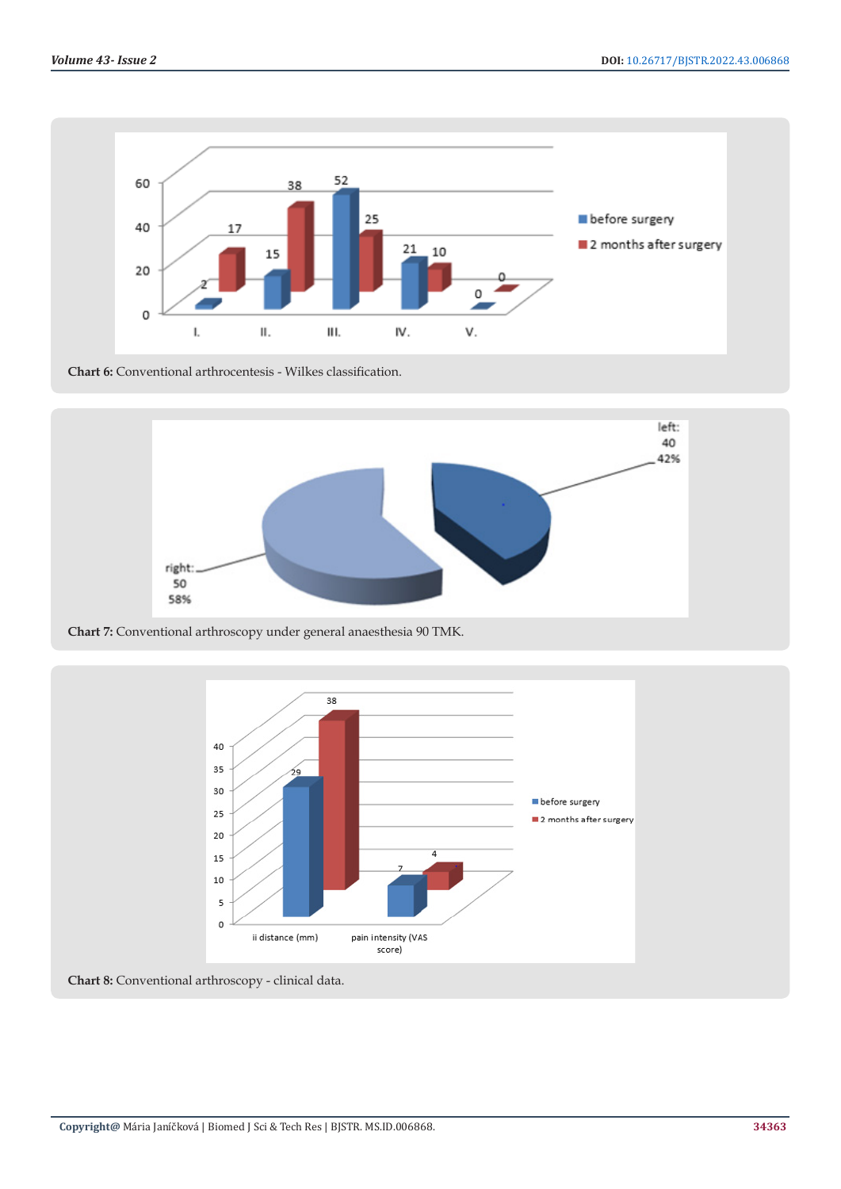

**Chart 6:** Conventional arthrocentesis - Wilkes classification.



**Chart 7:** Conventional arthroscopy under general anaesthesia 90 TMK.



**Chart 8:** Conventional arthroscopy - clinical data.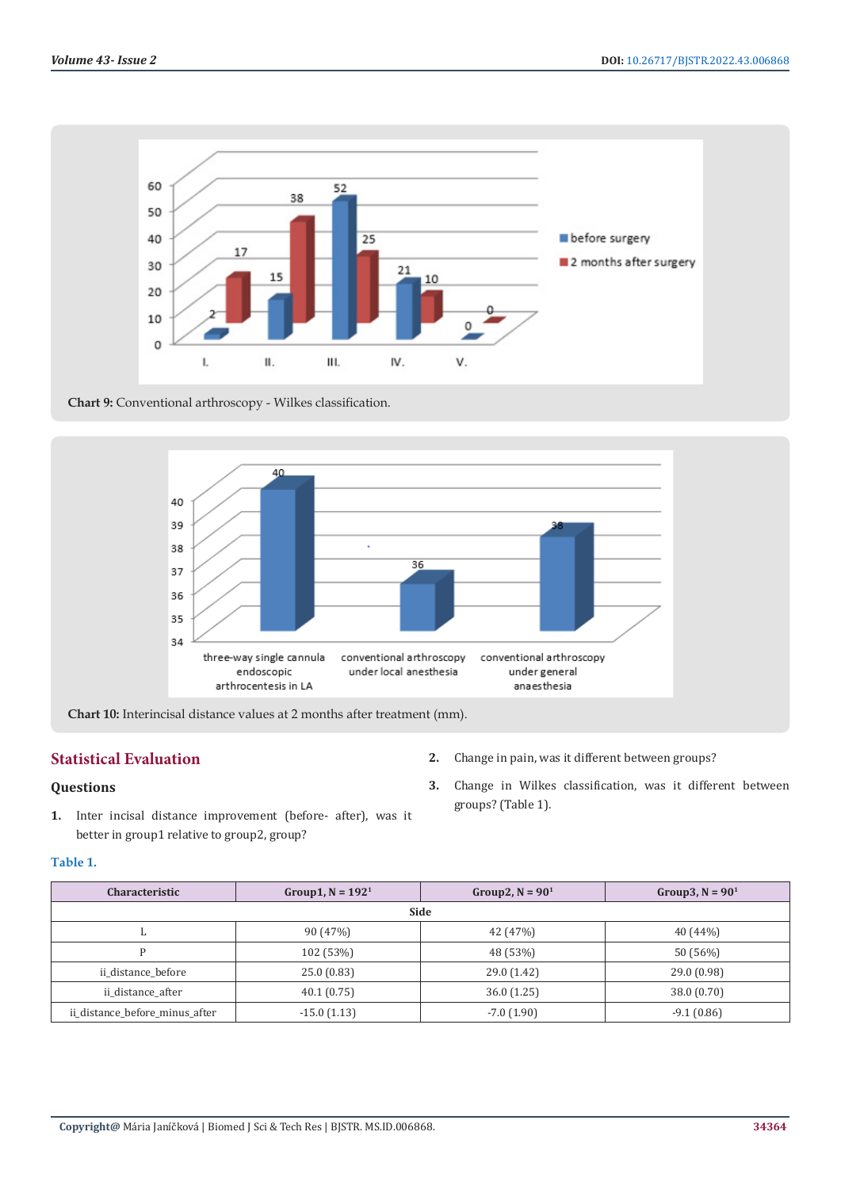

**Chart 9:** Conventional arthroscopy - Wilkes classification.



**Chart 10:** Interincisal distance values at 2 months after treatment (mm).

# **Statistical Evaluation**

# **Questions**

**1.** Inter incisal distance improvement (before- after), was it better in group1 relative to group2, group?

### **Table 1.**

| <b>Characteristic</b>          | Group1, $N = 1921$ | Group2, $N = 90^1$ | Group3, $N = 901$ |  |  |
|--------------------------------|--------------------|--------------------|-------------------|--|--|
| Side                           |                    |                    |                   |  |  |
|                                | 90 (47%)           | 42 (47%)           | 40(44%)           |  |  |
|                                | 102 (53%)          | 48 (53%)           | 50 (56%)          |  |  |
| ii distance before             | 25.0(0.83)         | 29.0 (1.42)        | 29.0(0.98)        |  |  |
| ii distance after              | 40.1(0.75)         | 36.0(1.25)         | 38.0 (0.70)       |  |  |
| ii distance before minus after | $-15.0(1.13)$      | $-7.0(1.90)$       | $-9.1(0.86)$      |  |  |

- **2.** Change in pain, was it different between groups?
- **3.** Change in Wilkes classification, was it different between groups? (Table 1).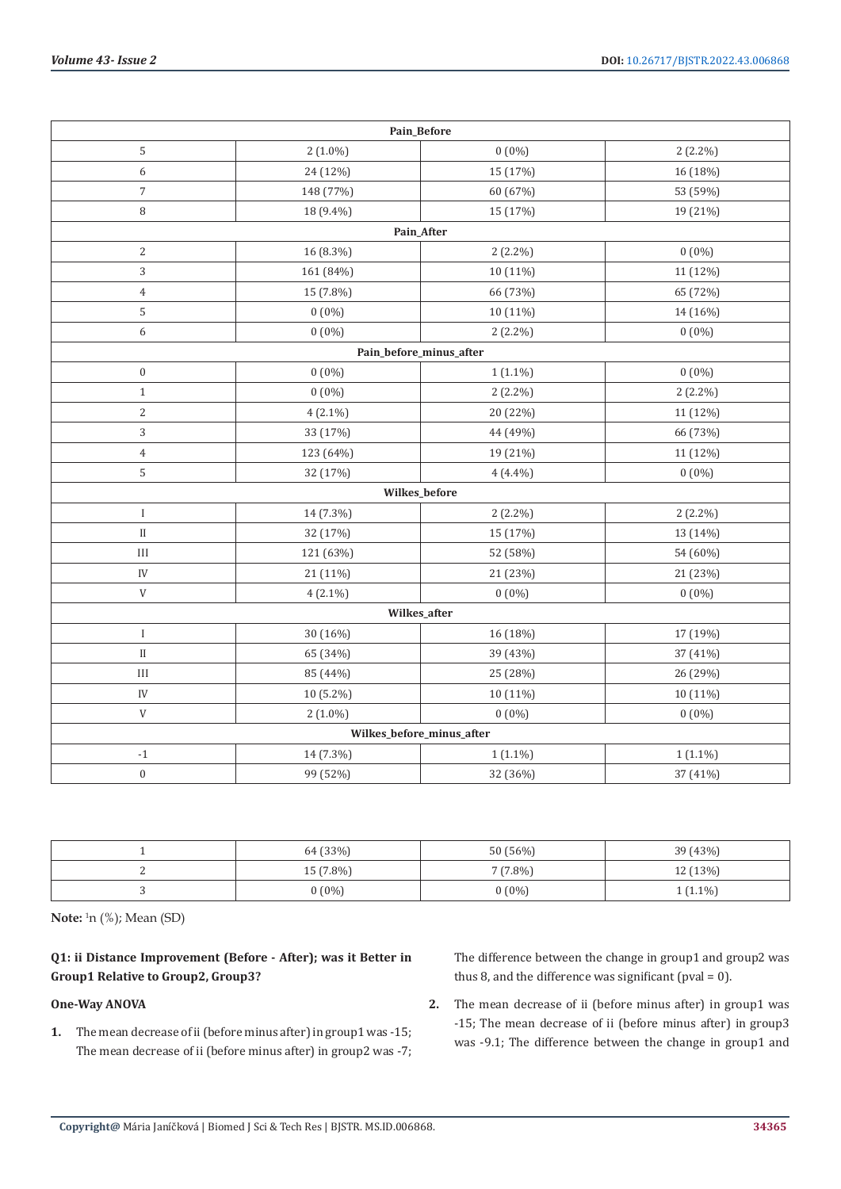|                           | Pain_Before |            |            |  |  |  |
|---------------------------|-------------|------------|------------|--|--|--|
| 5                         | $2(1.0\%)$  | $0(0\%)$   | $2(2.2\%)$ |  |  |  |
| 6                         | 24 (12%)    | 15 (17%)   | 16 (18%)   |  |  |  |
| $\overline{7}$            | 148 (77%)   | 60 (67%)   | 53 (59%)   |  |  |  |
| $\, 8$                    | 18 (9.4%)   | 15 (17%)   | 19 (21%)   |  |  |  |
| Pain_After                |             |            |            |  |  |  |
| 2                         | 16 (8.3%)   | $2(2.2\%)$ | $0(0\%)$   |  |  |  |
| 3                         | 161 (84%)   | 10 (11%)   | 11 (12%)   |  |  |  |
| $\overline{4}$            | 15 (7.8%)   | 66 (73%)   | 65 (72%)   |  |  |  |
| 5                         | $0(0\%)$    | 10 (11%)   | 14 (16%)   |  |  |  |
| 6                         | $0(0\%)$    | $2(2.2\%)$ | $0(0\%)$   |  |  |  |
| Pain_before_minus_after   |             |            |            |  |  |  |
| $\boldsymbol{0}$          | $0(0\%)$    | $1(1.1\%)$ | $0(0\%)$   |  |  |  |
| $\mathbf{1}$              | $0(0\%)$    | $2(2.2\%)$ | $2(2.2\%)$ |  |  |  |
| $\overline{c}$            | $4(2.1\%)$  | 20 (22%)   | 11 (12%)   |  |  |  |
| 3                         | 33 (17%)    | 44 (49%)   | 66 (73%)   |  |  |  |
| $\overline{4}$            | 123 (64%)   | 19 (21%)   | 11 (12%)   |  |  |  |
| 5                         | 32 (17%)    | $4(4.4\%)$ | $0(0\%)$   |  |  |  |
| Wilkes_before             |             |            |            |  |  |  |
| $\bf I$                   | 14 (7.3%)   | $2(2.2\%)$ | $2(2.2\%)$ |  |  |  |
| $\rm II$                  | 32 (17%)    | 15 (17%)   | 13 (14%)   |  |  |  |
| $\rm III$                 | 121 (63%)   | 52 (58%)   | 54 (60%)   |  |  |  |
| IV                        | 21 (11%)    | 21 (23%)   | 21 (23%)   |  |  |  |
| $\ensuremath{\mathsf{V}}$ | $4(2.1\%)$  | $0(0\%)$   | $0(0\%)$   |  |  |  |
| Wilkes_after              |             |            |            |  |  |  |
| $\rm I$                   | 30 (16%)    | 16 (18%)   | 17 (19%)   |  |  |  |
| $_{\rm II}$               | 65 (34%)    | 39 (43%)   | 37 (41%)   |  |  |  |
| $\rm III$                 | 85 (44%)    | 25 (28%)   | 26 (29%)   |  |  |  |
| IV                        | 10 (5.2%)   | 10 (11%)   | 10 (11%)   |  |  |  |
| $\ensuremath{\mathsf{V}}$ | $2(1.0\%)$  | $0(0\%)$   | $0(0\%)$   |  |  |  |
| Wilkes_before_minus_after |             |            |            |  |  |  |
| $^{\rm -1}$               | 14 (7.3%)   | $1(1.1\%)$ | $1(1.1\%)$ |  |  |  |
| $\boldsymbol{0}$          | 99 (52%)    | 32 (36%)   | 37 (41%)   |  |  |  |

| 64 (33%)    | 50 (56%)   | 39 (43%)   |
|-------------|------------|------------|
| $15(7.8\%)$ | $7(7.8\%)$ | 12 (13%)   |
| $0(0\%)$    | $0(0\%)$   | $1(1.1\%)$ |

**Note:** <sup>1</sup> n (%); Mean (SD)

# **Q1: ii Distance Improvement (Before - After); was it Better in Group1 Relative to Group2, Group3?**

# **One-Way ANOVA**

**1.** The mean decrease of ii (before minus after) in group1 was -15; The mean decrease of ii (before minus after) in group2 was -7; The difference between the change in group1 and group2 was thus 8, and the difference was significant (pval = 0).

**2.** The mean decrease of ii (before minus after) in group1 was -15; The mean decrease of ii (before minus after) in group3 was -9.1; The difference between the change in group1 and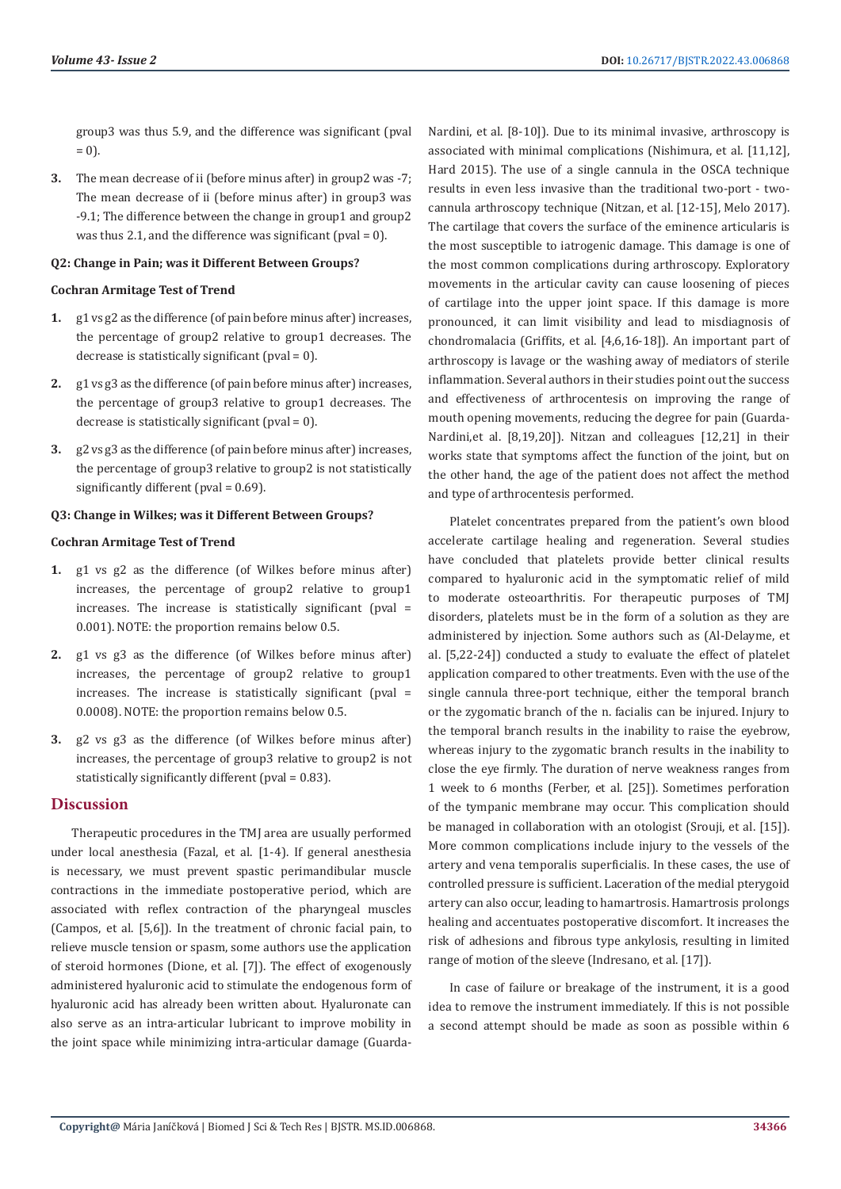group3 was thus 5.9, and the difference was significant (pval  $= 0$ .

**3.** The mean decrease of ii (before minus after) in group2 was -7; The mean decrease of ii (before minus after) in group3 was -9.1; The difference between the change in group1 and group2 was thus 2.1, and the difference was significant (pval =  $0$ ).

#### **Q2: Change in Pain; was it Different Between Groups?**

#### **Cochran Armitage Test of Trend**

- **1.** g1 vs g2 as the difference (of pain before minus after) increases, the percentage of group2 relative to group1 decreases. The decrease is statistically significant (pval = 0).
- **2.** g1 vs g3 as the difference (of pain before minus after) increases, the percentage of group3 relative to group1 decreases. The decrease is statistically significant (pval = 0).
- **3.** g2 vs g3 as the difference (of pain before minus after) increases, the percentage of group3 relative to group2 is not statistically significantly different (pval = 0.69).

#### **Q3: Change in Wilkes; was it Different Between Groups?**

#### **Cochran Armitage Test of Trend**

- **1.** g1 vs g2 as the difference (of Wilkes before minus after) increases, the percentage of group2 relative to group1 increases. The increase is statistically significant (pval = 0.001). NOTE: the proportion remains below 0.5.
- **2.** g1 vs g3 as the difference (of Wilkes before minus after) increases, the percentage of group2 relative to group1 increases. The increase is statistically significant (pval = 0.0008). NOTE: the proportion remains below 0.5.
- **3.** g2 vs g3 as the difference (of Wilkes before minus after) increases, the percentage of group3 relative to group2 is not statistically significantly different (pval = 0.83).

#### **Discussion**

Therapeutic procedures in the TMJ area are usually performed under local anesthesia (Fazal, et al. [1-4). If general anesthesia is necessary, we must prevent spastic perimandibular muscle contractions in the immediate postoperative period, which are associated with reflex contraction of the pharyngeal muscles (Campos, et al. [5,6]). In the treatment of chronic facial pain, to relieve muscle tension or spasm, some authors use the application of steroid hormones (Dione, et al. [7]). The effect of exogenously administered hyaluronic acid to stimulate the endogenous form of hyaluronic acid has already been written about. Hyaluronate can also serve as an intra-articular lubricant to improve mobility in the joint space while minimizing intra-articular damage (GuardaNardini, et al. [8-10]). Due to its minimal invasive, arthroscopy is associated with minimal complications (Nishimura, et al. [11,12], Hard 2015). The use of a single cannula in the OSCA technique results in even less invasive than the traditional two-port - twocannula arthroscopy technique (Nitzan, et al. [12-15], Melo 2017). The cartilage that covers the surface of the eminence articularis is the most susceptible to iatrogenic damage. This damage is one of the most common complications during arthroscopy. Exploratory movements in the articular cavity can cause loosening of pieces of cartilage into the upper joint space. If this damage is more pronounced, it can limit visibility and lead to misdiagnosis of chondromalacia (Griffits, et al. [4,6,16-18]). An important part of arthroscopy is lavage or the washing away of mediators of sterile inflammation. Several authors in their studies point out the success and effectiveness of arthrocentesis on improving the range of mouth opening movements, reducing the degree for pain (Guarda-Nardini,et al. [8,19,20]). Nitzan and colleagues [12,21] in their works state that symptoms affect the function of the joint, but on the other hand, the age of the patient does not affect the method and type of arthrocentesis performed.

Platelet concentrates prepared from the patient's own blood accelerate cartilage healing and regeneration. Several studies have concluded that platelets provide better clinical results compared to hyaluronic acid in the symptomatic relief of mild to moderate osteoarthritis. For therapeutic purposes of TMJ disorders, platelets must be in the form of a solution as they are administered by injection. Some authors such as (Al-Delayme, et al. [5,22-24]) conducted a study to evaluate the effect of platelet application compared to other treatments. Even with the use of the single cannula three-port technique, either the temporal branch or the zygomatic branch of the n. facialis can be injured. Injury to the temporal branch results in the inability to raise the eyebrow, whereas injury to the zygomatic branch results in the inability to close the eye firmly. The duration of nerve weakness ranges from 1 week to 6 months (Ferber, et al. [25]). Sometimes perforation of the tympanic membrane may occur. This complication should be managed in collaboration with an otologist (Srouji, et al. [15]). More common complications include injury to the vessels of the artery and vena temporalis superficialis. In these cases, the use of controlled pressure is sufficient. Laceration of the medial pterygoid artery can also occur, leading to hamartrosis. Hamartrosis prolongs healing and accentuates postoperative discomfort. It increases the risk of adhesions and fibrous type ankylosis, resulting in limited range of motion of the sleeve (Indresano, et al. [17]).

In case of failure or breakage of the instrument, it is a good idea to remove the instrument immediately. If this is not possible a second attempt should be made as soon as possible within 6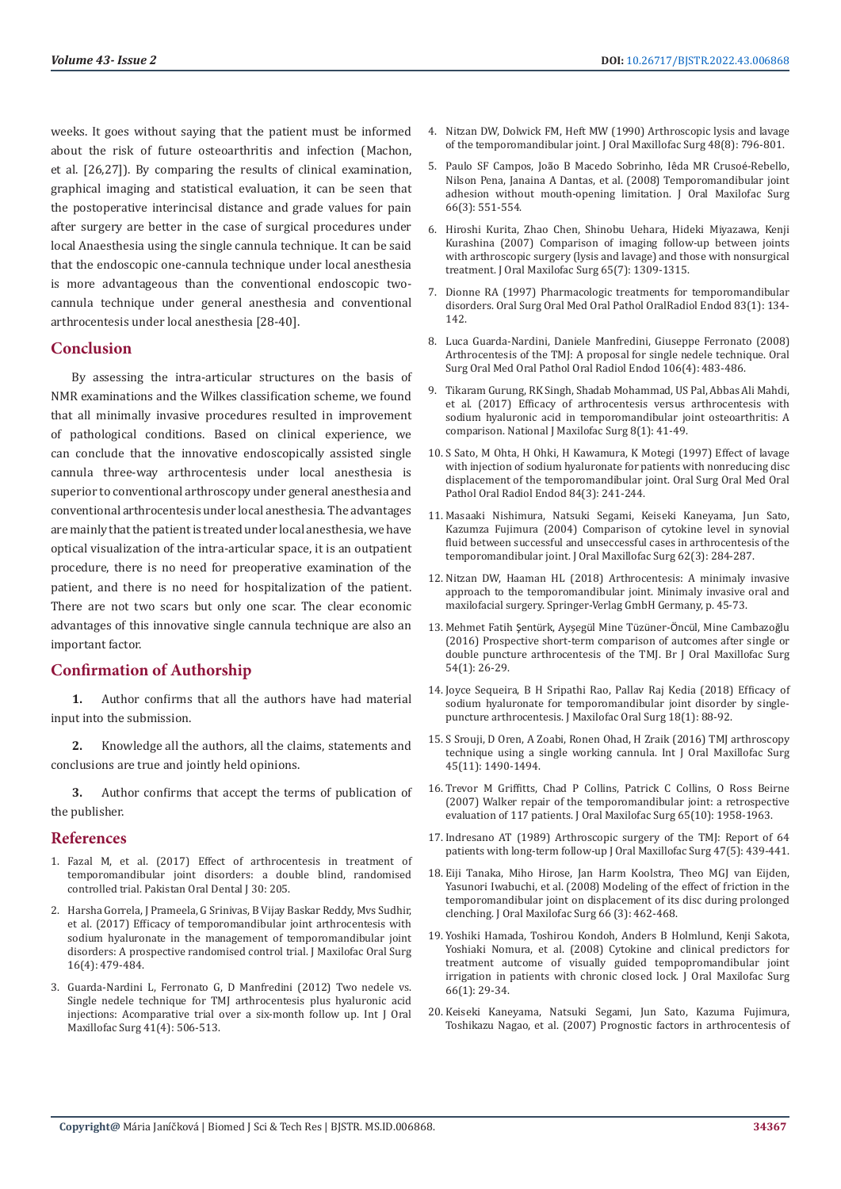weeks. It goes without saying that the patient must be informed about the risk of future osteoarthritis and infection (Machon, et al. [26,27]). By comparing the results of clinical examination, graphical imaging and statistical evaluation, it can be seen that the postoperative interincisal distance and grade values for pain after surgery are better in the case of surgical procedures under local Anaesthesia using the single cannula technique. It can be said that the endoscopic one-cannula technique under local anesthesia is more advantageous than the conventional endoscopic twocannula technique under general anesthesia and conventional arthrocentesis under local anesthesia [28-40].

#### **Conclusion**

By assessing the intra-articular structures on the basis of NMR examinations and the Wilkes classification scheme, we found that all minimally invasive procedures resulted in improvement of pathological conditions. Based on clinical experience, we can conclude that the innovative endoscopically assisted single cannula three-way arthrocentesis under local anesthesia is superior to conventional arthroscopy under general anesthesia and conventional arthrocentesis under local anesthesia. The advantages are mainly that the patient is treated under local anesthesia, we have optical visualization of the intra-articular space, it is an outpatient procedure, there is no need for preoperative examination of the patient, and there is no need for hospitalization of the patient. There are not two scars but only one scar. The clear economic advantages of this innovative single cannula technique are also an important factor.

# **Confirmation of Authorship**

**1.** Author confirms that all the authors have had material input into the submission.

**2.** Knowledge all the authors, all the claims, statements and conclusions are true and jointly held opinions.

**3.** Author confirms that accept the terms of publication of the publisher.

#### **References**

- 1. Fazal M, et al. (2017) Effect of arthrocentesis in treatment of temporomandibular joint disorders: a double blind, randomised controlled trial. Pakistan Oral Dental J 30: 205.
- 2. [Harsha Gorrela, J Prameela, G Srinivas, B Vijay Baskar Reddy, Mvs Sudhir,](https://pubmed.ncbi.nlm.nih.gov/29038631/)  [et al. \(2017\) Efficacy of temporomandibular joint arthrocentesis with](https://pubmed.ncbi.nlm.nih.gov/29038631/)  [sodium hyaluronate in the management of temporomandibular joint](https://pubmed.ncbi.nlm.nih.gov/29038631/)  [disorders: A prospective randomised control trial. J Maxilofac Oral Surg](https://pubmed.ncbi.nlm.nih.gov/29038631/)  [16\(4\): 479-484.](https://pubmed.ncbi.nlm.nih.gov/29038631/)
- 3. [Guarda-Nardini L, Ferronato G, D Manfredini \(2012\) Two nedele vs.](https://www.sciencedirect.com/science/article/abs/pii/S0901502711014937)  [Single nedele technique for TMJ arthrocentesis plus hyaluronic acid](https://www.sciencedirect.com/science/article/abs/pii/S0901502711014937)  [injections: Acomparative trial over a six-month follow up. Int J Oral](https://www.sciencedirect.com/science/article/abs/pii/S0901502711014937)  [Maxillofac Surg 41\(4\): 506-513.](https://www.sciencedirect.com/science/article/abs/pii/S0901502711014937)
- 4. [Nitzan DW, Dolwick FM, Heft MW \(1990\) Arthroscopic lysis and lavage](https://pubmed.ncbi.nlm.nih.gov/2374054/) [of the temporomandibular joint. J Oral Maxillofac Surg 48\(8\): 796-801.](https://pubmed.ncbi.nlm.nih.gov/2374054/)
- 5. Paulo SF Campos, Joã[o B Macedo Sobrinho, I](https://pubmed.ncbi.nlm.nih.gov/18280393/)êda MR Crusoé-Rebello, [Nilson Pena, Janaina A Dantas, et al. \(2008\) Temporomandibular joint](https://pubmed.ncbi.nlm.nih.gov/18280393/) [adhesion without mouth-opening limitation. J Oral Maxilofac Surg](https://pubmed.ncbi.nlm.nih.gov/18280393/) [66\(3\): 551-554.](https://pubmed.ncbi.nlm.nih.gov/18280393/)
- 6. [Hiroshi Kurita, Zhao Chen, Shinobu Uehara, Hideki Miyazawa, Kenji](https://pubmed.ncbi.nlm.nih.gov/17577494/) [Kurashina \(2007\) Comparison of imaging follow-up between joints](https://pubmed.ncbi.nlm.nih.gov/17577494/) [with arthroscopic surgery \(lysis and lavage\) and those with nonsurgical](https://pubmed.ncbi.nlm.nih.gov/17577494/) [treatment. J Oral Maxilofac Surg 65\(7\): 1309-1315.](https://pubmed.ncbi.nlm.nih.gov/17577494/)
- 7. [Dionne RA \(1997\) Pharmacologic treatments for temporomandibular](https://pubmed.ncbi.nlm.nih.gov/9007937/) [disorders. Oral Surg Oral Med Oral Pathol OralRadiol Endod 83\(1\): 134-](https://pubmed.ncbi.nlm.nih.gov/9007937/) [142.](https://pubmed.ncbi.nlm.nih.gov/9007937/)
- 8. [Luca Guarda-Nardini, Daniele Manfredini, Giuseppe Ferronato \(2008\)](https://pubmed.ncbi.nlm.nih.gov/18424123/) [Arthrocentesis of the TMJ: A proposal for single nedele technique. Oral](https://pubmed.ncbi.nlm.nih.gov/18424123/) [Surg Oral Med Oral Pathol Oral Radiol Endod 106\(4\): 483-486.](https://pubmed.ncbi.nlm.nih.gov/18424123/)
- 9. [Tikaram Gurung, RK Singh, Shadab Mohammad, US Pal, Abbas Ali Mahdi,](https://pubmed.ncbi.nlm.nih.gov/28761275/) [et al. \(2017\) Efficacy of arthrocentesis versus arthrocentesis with](https://pubmed.ncbi.nlm.nih.gov/28761275/) [sodium hyaluronic acid in temporomandibular joint osteoarthritis: A](https://pubmed.ncbi.nlm.nih.gov/28761275/) [comparison. National J Maxilofac Surg 8\(1\): 41-49.](https://pubmed.ncbi.nlm.nih.gov/28761275/)
- 10. [S Sato, M Ohta, H Ohki, H Kawamura, K Motegi \(1997\) Effect of lavage](https://pubmed.ncbi.nlm.nih.gov/9377185/) [with injection of sodium hyaluronate for patients with nonreducing disc](https://pubmed.ncbi.nlm.nih.gov/9377185/) [displacement of the temporomandibular joint. Oral Surg Oral Med Oral](https://pubmed.ncbi.nlm.nih.gov/9377185/) [Pathol Oral Radiol Endod 84\(3\): 241-244.](https://pubmed.ncbi.nlm.nih.gov/9377185/)
- 11. [Masaaki Nishimura, Natsuki Segami, Keiseki Kaneyama, Jun Sato,](https://pubmed.ncbi.nlm.nih.gov/15015157/) [Kazumza Fujimura \(2004\) Comparison of cytokine level in synovial](https://pubmed.ncbi.nlm.nih.gov/15015157/) [fluid between successful and unseccessful cases in arthrocentesis of the](https://pubmed.ncbi.nlm.nih.gov/15015157/) [temporomandibular joint. J Oral Maxillofac Surg 62\(3\): 284-287.](https://pubmed.ncbi.nlm.nih.gov/15015157/)
- 12. Nitzan DW, Haaman HL (2018) Arthrocentesis: A minimaly invasive approach to the temporomandibular joint. Minimaly invasive oral and maxilofacial surgery. Springer-Verlag GmbH Germany, p. 45-73.
- 13. Mehmet Fatih Şentürk, Ayşegül Mine Tüzüner-Öncü[l, Mine Cambazo](https://pubmed.ncbi.nlm.nih.gov/26782027/)ğlu [\(2016\) Prospective short-term comparison of autcomes after single or](https://pubmed.ncbi.nlm.nih.gov/26782027/) [double puncture arthrocentesis of the TMJ. Br J Oral Maxillofac Surg](https://pubmed.ncbi.nlm.nih.gov/26782027/) [54\(1\): 26-29.](https://pubmed.ncbi.nlm.nih.gov/26782027/)
- 14. [Joyce Sequeira, B H Sripathi Rao, Pallav Raj Kedia \(2018\) Efficacy of](https://pubmed.ncbi.nlm.nih.gov/30728698/) [sodium hyaluronate for temporomandibular joint disorder by single](https://pubmed.ncbi.nlm.nih.gov/30728698/)[puncture arthrocentesis. J Maxilofac Oral Surg 18\(1\): 88-92.](https://pubmed.ncbi.nlm.nih.gov/30728698/)
- 15. [S Srouji, D Oren, A Zoabi, Ronen Ohad, H Zraik \(2016\) TMJ arthroscopy](https://pubmed.ncbi.nlm.nih.gov/27267707/) [technique using a single working cannula. Int J Oral Maxillofac Surg](https://pubmed.ncbi.nlm.nih.gov/27267707/) [45\(11\): 1490-1494.](https://pubmed.ncbi.nlm.nih.gov/27267707/)
- 16. [Trevor M Griffitts, Chad P Collins, Patrick C Collins, O Ross Beirne](https://pubmed.ncbi.nlm.nih.gov/17884522/) [\(2007\) Walker repair of the temporomandibular joint: a retrospective](https://pubmed.ncbi.nlm.nih.gov/17884522/) [evaluation of 117 patients. J Oral Maxilofac Surg 65\(10\): 1958-1963.](https://pubmed.ncbi.nlm.nih.gov/17884522/)
- 17. [Indresano AT \(1989\) Arthroscopic surgery of the TMJ: Report of 64](https://pubmed.ncbi.nlm.nih.gov/2709213/) [patients with long-term follow-up J Oral Maxillofac Surg 47\(5\): 439-441.](https://pubmed.ncbi.nlm.nih.gov/2709213/)
- 18. [Eiji Tanaka, Miho Hirose, Jan Harm Koolstra, Theo MGJ van Eijden,](https://pubmed.ncbi.nlm.nih.gov/18280378/) [Yasunori Iwabuchi, et al. \(2008\) Modeling of the effect of friction in the](https://pubmed.ncbi.nlm.nih.gov/18280378/) [temporomandibular joint on displacement of its disc during prolonged](https://pubmed.ncbi.nlm.nih.gov/18280378/) [clenching. J Oral Maxilofac Surg 66 \(3\): 462-468.](https://pubmed.ncbi.nlm.nih.gov/18280378/)
- 19. [Yoshiki Hamada, Toshirou Kondoh, Anders B Holmlund, Kenji Sakota,](https://pubmed.ncbi.nlm.nih.gov/18083412/) [Yoshiaki Nomura, et al. \(2008\) Cytokine and clinical predictors for](https://pubmed.ncbi.nlm.nih.gov/18083412/) [treatment autcome of visually guided tempopromandibular joint](https://pubmed.ncbi.nlm.nih.gov/18083412/) [irrigation in patients with chronic closed lock. J Oral Maxilofac Surg](https://pubmed.ncbi.nlm.nih.gov/18083412/) [66\(1\): 29-34.](https://pubmed.ncbi.nlm.nih.gov/18083412/)
- 20. [Keiseki Kaneyama, Natsuki Segami, Jun Sato, Kazuma Fujimura,](https://www.sciencedirect.com/science/article/abs/pii/S0278239106014182) [Toshikazu Nagao, et al. \(2007\) Prognostic factors in arthrocentesis of](https://www.sciencedirect.com/science/article/abs/pii/S0278239106014182)